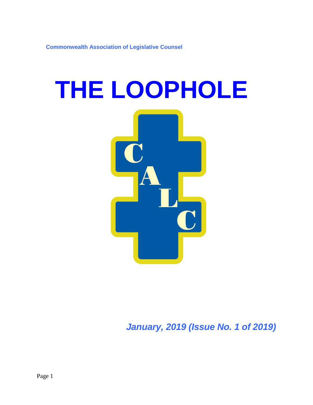**Commonwealth Association of Legislative Counsel**

# **THE LOOPHOLE**

*January, 2019 (Issue No. 1 of 2019)*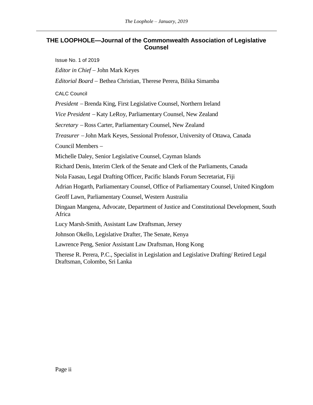# **THE LOOPHOLE—Journal of the Commonwealth Association of Legislative Counsel**

Issue No. 1 of 2019

*Editor in Chief* − John Mark Keyes

*Editorial Board* − Bethea Christian, Therese Perera, Bilika Simamba

CALC Council

*President* <sup>−</sup> Brenda King, First Legislative Counsel, Northern Ireland

*Vice President* <sup>−</sup> Katy LeRoy, Parliamentary Counsel, New Zealand

*Secretary* <sup>−</sup> Ross Carter, Parliamentary Counsel, New Zealand

*Treasurer* <sup>−</sup> John Mark Keyes, Sessional Professor, University of Ottawa, Canada

Council Members −

Michelle Daley, Senior Legislative Counsel, Cayman Islands

Richard Denis, Interim Clerk of the Senate and Clerk of the Parliaments, Canada

Nola Faasau, Legal Drafting Officer, Pacific Islands Forum Secretariat, Fiji

Adrian Hogarth, Parliamentary Counsel, Office of Parliamentary Counsel, United Kingdom

Geoff Lawn, Parliamentary Counsel, Western Australia

Dingaan Mangena, Advocate, Department of Justice and Constitutional Development, South Africa

Lucy Marsh-Smith, Assistant Law Draftsman, Jersey

Johnson Okello, Legislative Drafter, The Senate, Kenya

Lawrence Peng, Senior Assistant Law Draftsman, Hong Kong

Therese R. Perera, P.C., Specialist in Legislation and Legislative Drafting/ Retired Legal Draftsman, Colombo, Sri Lanka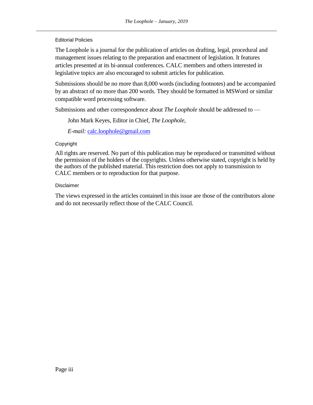Editorial Policies

The Loophole is a journal for the publication of articles on drafting, legal, procedural and management issues relating to the preparation and enactment of legislation. It features articles presented at its bi-annual conferences. CALC members and others interested in legislative topics are also encouraged to submit articles for publication.

Submissions should be no more than 8,000 words (including footnotes) and be accompanied by an abstract of no more than 200 words. They should be formatted in MSWord or similar compatible word processing software.

Submissions and other correspondence about *The Loophole* should be addressed to —

John Mark Keyes, Editor in Chief, *The Loophole*,

*E-mail:* [calc.loophole@gmail.com](mailto:calc.loophole@gmail.com)

# Copyright

All rights are reserved. No part of this publication may be reproduced or transmitted without the permission of the holders of the copyrights. Unless otherwise stated, copyright is held by the authors of the published material. This restriction does not apply to transmission to CALC members or to reproduction for that purpose.

#### Disclaimer

The views expressed in the articles contained in this issue are those of the contributors alone and do not necessarily reflect those of the CALC Council.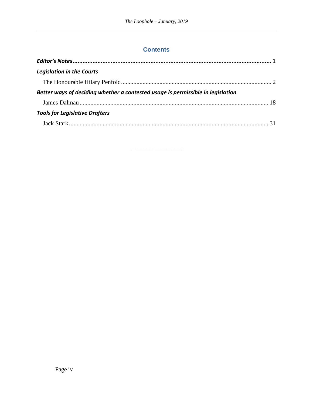# **Contents**

| <b>Legislation in the Courts</b>                                                |  |
|---------------------------------------------------------------------------------|--|
|                                                                                 |  |
| Better ways of deciding whether a contested usage is permissible in legislation |  |
|                                                                                 |  |
| <b>Tools for Legislative Drafters</b>                                           |  |
|                                                                                 |  |
|                                                                                 |  |

\_\_\_\_\_\_\_\_\_\_\_\_\_\_\_\_\_\_\_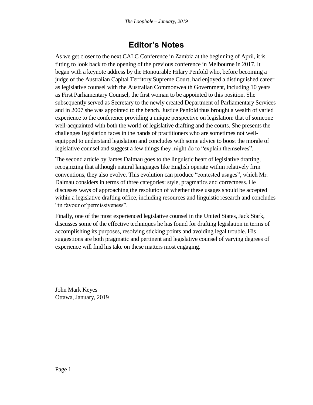# **Editor's Notes**

<span id="page-4-0"></span>As we get closer to the next CALC Conference in Zambia at the beginning of April, it is fitting to look back to the opening of the previous conference in Melbourne in 2017. It began with a keynote address by the Honourable Hilary Penfold who, before becoming a judge of the Australian Capital Territory Supreme Court, had enjoyed a distinguished career as legislative counsel with the Australian Commonwealth Government, including 10 years as First Parliamentary Counsel, the first woman to be appointed to this position. She subsequently served as Secretary to the newly created Department of Parliamentary Services and in 2007 she was appointed to the bench. Justice Penfold thus brought a wealth of varied experience to the conference providing a unique perspective on legislation: that of someone well-acquainted with both the world of legislative drafting and the courts. She presents the challenges legislation faces in the hands of practitioners who are sometimes not wellequipped to understand legislation and concludes with some advice to boost the morale of legislative counsel and suggest a few things they might do to "explain themselves".

The second article by James Dalmau goes to the linguistic heart of legislative drafting, recognizing that although natural languages like English operate within relatively firm conventions, they also evolve. This evolution can produce "contested usages", which Mr. Dalmau considers in terms of three categories: style, pragmatics and correctness. He discusses ways of approaching the resolution of whether these usages should be accepted within a legislative drafting office, including resources and linguistic research and concludes "in favour of permissiveness".

Finally, one of the most experienced legislative counsel in the United States, Jack Stark, discusses some of the effective techniques he has found for drafting legislation in terms of accomplishing its purposes, resolving sticking points and avoiding legal trouble. His suggestions are both pragmatic and pertinent and legislative counsel of varying degrees of experience will find his take on these matters most engaging.

John Mark Keyes Ottawa, January, 2019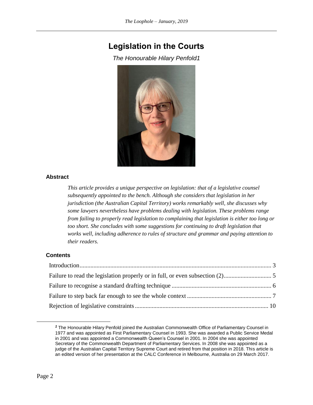# <span id="page-5-1"></span><span id="page-5-0"></span>**Legislation in the Courts**

*The Honourable Hilary Penfold1*



#### **Abstract**

*This article provides a unique perspective on legislation: that of a legislative counsel subsequently appointed to the bench. Although she considers that legislation in her jurisdiction (the Australian Capital Territory) works remarkably well, she discusses why some lawyers nevertheless have problems dealing with legislation. These problems range from failing to properly read legislation to complaining that legislation is either too long or too short. She concludes with some suggestions for continuing to draft legislation that works well, including adherence to rules of structure and grammar and paying attention to their readers.*

#### **Contents**

*<sup>1</sup>* The Honourable Hilary Penfold joined the Australian Commonwealth Office of Parliamentary Counsel in 1977 and was appointed as First Parliamentary Counsel in 1993. She was awarded a Public Service Medal in 2001 and was appointed a Commonwealth Queen's Counsel in 2001. In 2004 she was appointed Secretary of the Commonwealth Department of Parliamentary Services. In 2008 she was appointed as a judge of the Australian Capital Territory Supreme Court and retired from that position in 2018. This article is an edited version of her presentation at the CALC Conference in Melbourne, Australia on 29 March 2017.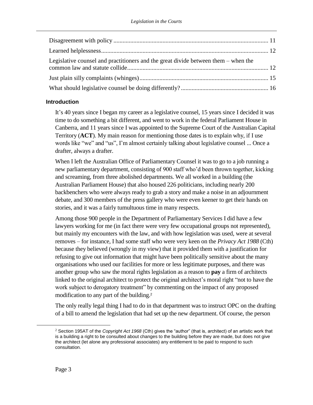| Legislative counsel and practitioners and the great divide between them $-$ when the |  |
|--------------------------------------------------------------------------------------|--|
|                                                                                      |  |
|                                                                                      |  |

# <span id="page-6-0"></span>**Introduction**

It's 40 years since I began my career as a legislative counsel, 15 years since I decided it was time to do something a bit different, and went to work in the federal Parliament House in Canberra, and 11 years since I was appointed to the Supreme Court of the Australian Capital Territory (**ACT**). My main reason for mentioning those dates is to explain why, if I use words like "we" and "us", I'm almost certainly talking about legislative counsel ... Once a drafter, always a drafter.

When I left the Australian Office of Parliamentary Counsel it was to go to a job running a new parliamentary department, consisting of 900 staff who'd been thrown together, kicking and screaming, from three abolished departments. We all worked in a building (the Australian Parliament House) that also housed 226 politicians, including nearly 200 backbenchers who were always ready to grab a story and make a noise in an adjournment debate, and 300 members of the press gallery who were even keener to get their hands on stories, and it was a fairly tumultuous time in many respects.

Among those 900 people in the Department of Parliamentary Services I did have a few lawyers working for me (in fact there were very few occupational groups not represented), but mainly my encounters with the law, and with how legislation was used, were at several removes – for instance, I had some staff who were very keen on the *Privacy Act 1988* (Cth) because they believed (wrongly in my view) that it provided them with a justification for refusing to give out information that might have been politically sensitive about the many organisations who used our facilities for more or less legitimate purposes, and there was another group who saw the moral rights legislation as a reason to **pay** a firm of architects linked to the original architect to protect the original architect's moral right "not to have the work subject to derogatory treatment" by commenting on the impact of any proposed modification to any part of the building.<sup>2</sup>

The only really legal thing I had to do in that department was to instruct OPC on the drafting of a bill to amend the legislation that had set up the new department. Of course, the person

<sup>2</sup> Section 195AT of the *Copyright Act 1968* (Cth) gives the "author" (that is, architect) of an artistic work that is a building a right to be consulted about changes to the building before they are made, but does not give the architect (let alone any professional associates) any entitlement to be paid to respond to such consultation.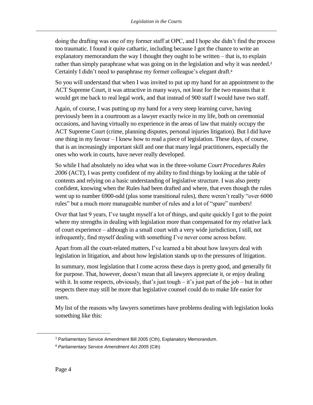doing the drafting was one of my former staff at OPC, and I hope she didn't find the process too traumatic. I found it quite cathartic, including because I got the chance to write an explanatory memorandum the way I thought they ought to be written – that is, to explain rather than simply paraphrase what was going on in the legislation and why it was needed.<sup>3</sup> Certainly I didn't need to paraphrase my former colleague's elegant draft.<sup>4</sup>

So you will understand that when I was invited to put up my hand for an appointment to the ACT Supreme Court, it was attractive in many ways, not least for the two reasons that it would get me back to real legal work, and that instead of 900 staff I would have two staff.

Again, of course, I was putting up my hand for a very steep learning curve, having previously been in a courtroom as a lawyer exactly twice in my life, both on ceremonial occasions, and having virtually no experience in the areas of law that mainly occupy the ACT Supreme Court (crime, planning disputes, personal injuries litigation). But I did have one thing in my favour – I knew how to read a piece of legislation. These days, of course, that is an increasingly important skill and one that many legal practitioners, especially the ones who work in courts, have never really developed.

So while I had absolutely no idea what was in the three-volume *Court Procedures Rules 2006* (ACT), I was pretty confident of my ability to find things by looking at the table of contents and relying on a basic understanding of legislative structure. I was also pretty confident, knowing when the Rules had been drafted and where, that even though the rules went up to number 6900-odd (plus some transitional rules), there weren't really "over 6000 rules" but a much more manageable number of rules and a lot of "spare" numbers!

Over that last 9 years, I've taught myself a lot of things, and quite quickly I got to the point where my strengths in dealing with legislation more than compensated for my relative lack of court experience – although in a small court with a very wide jurisdiction, I still, not infrequently, find myself dealing with something I've never come across before.

Apart from all the court-related matters, I've learned a bit about how lawyers deal with legislation in litigation, and about how legislation stands up to the pressures of litigation.

In summary, most legislation that I come across these days is pretty good, and generally fit for purpose. That, however, doesn't mean that all lawyers appreciate it, or enjoy dealing with it. In some respects, obviously, that's just tough – it's just part of the job – but in other respects there may still be more that legislative counsel could do to make life easier for users.

My list of the reasons why lawyers sometimes have problems dealing with legislation looks something like this:

<sup>&</sup>lt;sup>3</sup> Parliamentary Service Amendment Bill 2005 (Cth), Explanatory Memorandum.

<sup>4</sup> *Parliamentary Service Amendment Act 2005* (Cth)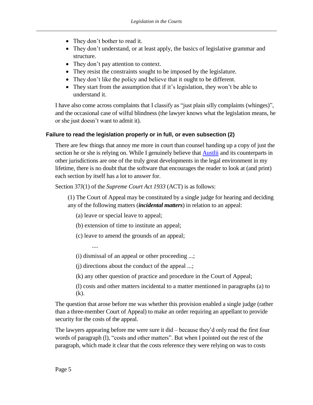- They don't bother to read it.
- They don't understand, or at least apply, the basics of legislative grammar and structure.
- They don't pay attention to context.
- They resist the constraints sought to be imposed by the legislature.
- They don't like the policy and believe that it ought to be different.
- They start from the assumption that if it's legislation, they won't be able to understand it.

I have also come across complaints that I classify as "just plain silly complaints (whinges)", and the occasional case of wilful blindness (the lawyer knows what the legislation means, he or she just doesn't want to admit it).

# <span id="page-8-0"></span>**Failure to read the legislation properly or in full, or even subsection (2)**

There are few things that annoy me more in court than counsel handing up a copy of just the section he or she is relying on. While I genuinely believe that **Austlii** and its counterparts in other jurisdictions are one of the truly great developments in the legal environment in my lifetime, there is no doubt that the software that encourages the reader to look at (and print) each section by itself has a lot to answer for.

Section 37J(1) of the *Supreme Court Act 1933* (ACT) is as follows:

(1) The Court of Appeal may be constituted by a single judge for hearing and deciding any of the following matters (*incidental matters*) in relation to an appeal:

(a) leave or special leave to appeal;

....

(b) extension of time to institute an appeal;

(c) leave to amend the grounds of an appeal;

(i) dismissal of an appeal or other proceeding ...;

(j) directions about the conduct of the appeal ...;

(k) any other question of practice and procedure in the Court of Appeal;

(l) costs and other matters incidental to a matter mentioned in paragraphs (a) to (k).

The question that arose before me was whether this provision enabled a single judge (rather than a three-member Court of Appeal) to make an order requiring an appellant to provide security for the costs of the appeal.

The lawyers appearing before me were sure it did – because they'd only read the first four words of paragraph (l), "costs and other matters". But when I pointed out the rest of the paragraph, which made it clear that the costs reference they were relying on was to costs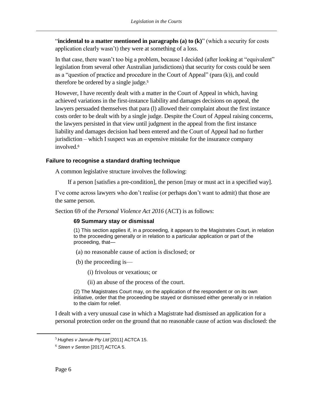"**incidental to a matter mentioned in paragraphs (a) to (k)**" (which a security for costs application clearly wasn't) they were at something of a loss.

In that case, there wasn't too big a problem, because I decided (after looking at "equivalent" legislation from several other Australian jurisdictions) that security for costs could be seen as a "question of practice and procedure in the Court of Appeal" (para (k)), and could therefore be ordered by a single judge.<sup>5</sup>

However, I have recently dealt with a matter in the Court of Appeal in which, having achieved variations in the first-instance liability and damages decisions on appeal, the lawyers persuaded themselves that para (l) allowed their complaint about the first instance costs order to be dealt with by a single judge. Despite the Court of Appeal raising concerns, the lawyers persisted in that view until judgment in the appeal from the first instance liability and damages decision had been entered and the Court of Appeal had no further jurisdiction – which I suspect was an expensive mistake for the insurance company involved. 6

# <span id="page-9-0"></span>**Failure to recognise a standard drafting technique**

A common legislative structure involves the following:

If a person [satisfies a pre-condition], the person [may or must act in a specified way].

I've come across lawyers who don't realise (or perhaps don't want to admit) that those are the same person.

Section 69 of the *Personal Violence Act 2016* (ACT) is as follows:

# **69 Summary stay or dismissal**

(1) This section applies if, in a proceeding, it appears to the Magistrates Court, in relation to the proceeding generally or in relation to a particular application or part of the proceeding, that—

- (a) no reasonable cause of action is disclosed; or
- (b) the proceeding is—
	- (i) frivolous or vexatious; or
	- (ii) an abuse of the process of the court.

(2) The Magistrates Court may, on the application of the respondent or on its own initiative, order that the proceeding be stayed or dismissed either generally or in relation to the claim for relief.

I dealt with a very unusual case in which a Magistrate had dismissed an application for a personal protection order on the ground that no reasonable cause of action was disclosed: the

<sup>5</sup> *Hughes v Janrule Pty Ltd* [2011] ACTCA 15.

<sup>6</sup> *Steen v Senton* [2017] ACTCA 5.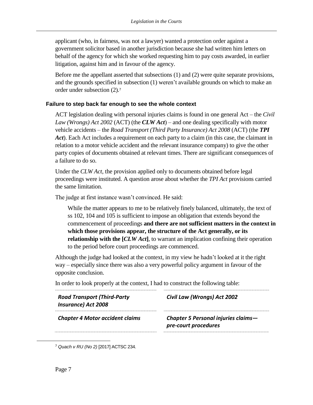applicant (who, in fairness, was not a lawyer) wanted a protection order against a government solicitor based in another jurisdiction because she had written him letters on behalf of the agency for which she worked requesting him to pay costs awarded, in earlier litigation, against him and in favour of the agency.

Before me the appellant asserted that subsections (1) and (2) were quite separate provisions, and the grounds specified in subsection (1) weren't available grounds on which to make an order under subsection (2). 7

# <span id="page-10-0"></span>**Failure to step back far enough to see the whole context**

ACT legislation dealing with personal injuries claims is found in one general Act – the *Civil Law (Wrongs) Act 2002* (ACT) (the *CLW Act*) – and one dealing specifically with motor vehicle accidents – the *Road Transport (Third Party Insurance) Act 2008* (ACT) (the *TPI Act*). Each Act includes a requirement on each party to a claim (in this case, the claimant in relation to a motor vehicle accident and the relevant insurance company) to give the other party copies of documents obtained at relevant times. There are significant consequences of a failure to do so.

Under the *CLW Act*, the provision applied only to documents obtained before legal proceedings were instituted. A question arose about whether the *TPI Act* provisions carried the same limitation.

The judge at first instance wasn't convinced. He said:

While the matter appears to me to be relatively finely balanced, ultimately, the text of ss 102, 104 and 105 is sufficient to impose an obligation that extends beyond the commencement of proceedings **and there are not sufficient matters in the context in which those provisions appear, the structure of the Act generally, or its relationship with the [***CLW Act***]**, to warrant an implication confining their operation to the period before court proceedings are commenced.

Although the judge had looked at the context, in my view he hadn't looked at it the right way – especially since there was also a very powerful policy argument in favour of the opposite conclusion.

In order to look properly at the context, I had to construct the following table:

| <b>Road Transport (Third-Party</b><br><b>Insurance) Act 2008</b> | Civil Law (Wrongs) Act 2002                                 |
|------------------------------------------------------------------|-------------------------------------------------------------|
| <b>Chapter 4 Motor accident claims</b>                           | Chapter 5 Personal injuries claims-<br>pre-court procedures |
|                                                                  |                                                             |

<sup>7</sup> *Quach v RU (No 2)* [2017] ACTSC 234.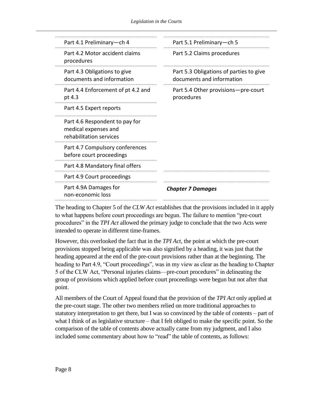| Part 5.1 Preliminary-ch 5                                            |
|----------------------------------------------------------------------|
| Part 5.2 Claims procedures                                           |
| Part 5.3 Obligations of parties to give<br>documents and information |
| Part 5.4 Other provisions-pre-court<br>procedures                    |
|                                                                      |
|                                                                      |
|                                                                      |
|                                                                      |
|                                                                      |
| <b>Chapter 7 Damages</b>                                             |
|                                                                      |

The heading to Chapter 5 of the *CLW Act* establishes that the provisions included in it apply to what happens before court proceedings are begun. The failure to mention "pre-court procedures" in the *TPI Act* allowed the primary judge to conclude that the two Acts were intended to operate in different time-frames.

However, this overlooked the fact that in the *TPI Act*, the point at which the pre-court provisions stopped being applicable was also signified by a heading, it was just that the heading appeared at the end of the pre-court provisions rather than at the beginning. The heading to Part 4.9, "Court proceedings", was in my view as clear as the heading to Chapter 5 of the CLW Act, "Personal injuries claims—pre-court procedures" in delineating the group of provisions which applied before court proceedings were begun but not after that point.

All members of the Court of Appeal found that the provision of the *TPI Act* only applied at the pre-court stage. The other two members relied on more traditional approaches to statutory interpretation to get there, but I was so convinced by the table of contents – part of what I think of as legislative structure – that I felt obliged to make the specific point. So the comparison of the table of contents above actually came from my judgment, and I also included some commentary about how to "read" the table of contents, as follows: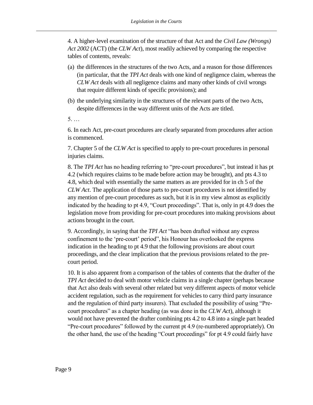4. A higher-level examination of the structure of that Act and the *Civil Law (Wrongs) Act 2002* (ACT) (the *CLW Act*), most readily achieved by comparing the respective tables of contents, reveals:

- (a) the differences in the structures of the two Acts, and a reason for those differences (in particular, that the *TPI Act* deals with one kind of negligence claim, whereas the *CLW Act* deals with all negligence claims and many other kinds of civil wrongs that require different kinds of specific provisions); and
- (b) the underlying similarity in the structures of the relevant parts of the two Acts, despite differences in the way different units of the Acts are titled.
- 5. …

6. In each Act, pre-court procedures are clearly separated from procedures after action is commenced.

7. Chapter 5 of the *CLW Act* is specified to apply to pre-court procedures in personal injuries claims.

8. The *TPI Act* has no heading referring to "pre-court procedures", but instead it has pt 4.2 (which requires claims to be made before action may be brought), and pts 4.3 to 4.8, which deal with essentially the same matters as are provided for in ch 5 of the *CLW Act*. The application of those parts to pre-court procedures is not identified by any mention of pre-court procedures as such, but it is in my view almost as explicitly indicated by the heading to pt 4.9, "Court proceedings". That is, only in pt 4.9 does the legislation move from providing for pre-court procedures into making provisions about actions brought in the court.

9. Accordingly, in saying that the *TPI Act* "has been drafted without any express confinement to the 'pre-court' period", his Honour has overlooked the express indication in the heading to pt 4.9 that the following provisions are about court proceedings, and the clear implication that the previous provisions related to the precourt period.

10. It is also apparent from a comparison of the tables of contents that the drafter of the *TPI Act* decided to deal with motor vehicle claims in a single chapter (perhaps because that Act also deals with several other related but very different aspects of motor vehicle accident regulation, such as the requirement for vehicles to carry third party insurance and the regulation of third party insurers). That excluded the possibility of using "Precourt procedures" as a chapter heading (as was done in the *CLW Act*), although it would not have prevented the drafter combining pts 4.2 to 4.8 into a single part headed "Pre-court procedures" followed by the current pt 4.9 (re-numbered appropriately). On the other hand, the use of the heading "Court proceedings" for pt 4.9 could fairly have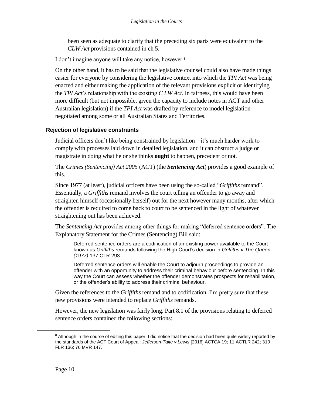been seen as adequate to clarify that the preceding six parts were equivalent to the *CLW Act* provisions contained in ch 5.

I don't imagine anyone will take any notice, however.<sup>8</sup>

On the other hand, it has to be said that the legislative counsel could also have made things easier for everyone by considering the legislative context into which the *TPI Act* was being enacted and either making the application of the relevant provisions explicit or identifying the *TPI Act*'s relationship with the existing *C LW Act*. In fairness, this would have been more difficult (but not impossible, given the capacity to include notes in ACT and other Australian legislation) if the *TPI Act* was drafted by reference to model legislation negotiated among some or all Australian States and Territories.

# <span id="page-13-0"></span>**Rejection of legislative constraints**

Judicial officers don't like being constrained by legislation – it's much harder work to comply with processes laid down in detailed legislation, and it can obstruct a judge or magistrate in doing what he or she thinks **ought** to happen, precedent or not.

The *Crimes (Sentencing) Act 2005* (ACT) (the *Sentencing Act*) provides a good example of this.

Since 1977 (at least), judicial officers have been using the so-called "*Griffiths* remand". Essentially, a *Griffiths* remand involves the court telling an offender to go away and straighten himself (occasionally herself) out for the next however many months, after which the offender is required to come back to court to be sentenced in the light of whatever straightening out has been achieved.

The *Sentencing Act* provides among other things for making "deferred sentence orders". The Explanatory Statement for the Crimes (Sentencing) Bill said:

Deferred sentence orders are a codification of an existing power available to the Court known as *Griffiths r*emands following the High Court's decision in *Griffiths v The Queen (1977)* 137 CLR 293

Deferred sentence orders will enable the Court to adjourn proceedings to provide an offender with an opportunity to address their criminal behaviour before sentencing. In this way the Court can assess whether the offender demonstrates prospects for rehabilitation, or the offender's ability to address their criminal behaviour.

Given the references to the *Griffiths* remand and to codification, I'm pretty sure that these new provisions were intended to replace *Griffiths* remands.

However, the new legislation was fairly long. Part 8.1 of the provisions relating to deferred sentence orders contained the following sections:

<sup>&</sup>lt;sup>8</sup> Although in the course of editing this paper, I did notice that the decision had been quite widely reported by the standards of the ACT Court of Appeal: *[Jefferson-Taite v Lewis](https://jade.io/article/481165)* [2016] ACTCA 19; 11 ACTLR 242; 310 FLR 136; 76 MVR 147.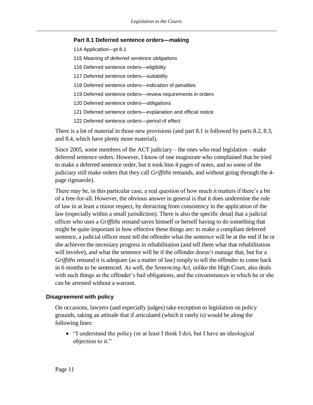#### **Part 8.1 Deferred sentence orders—making**

- 114 Application—pt 8.1
- 115 Meaning of *deferred sentence obligations*
- 116 Deferred sentence orders—eligibility
- 117 Deferred sentence orders—suitability
- 118 Deferred sentence orders—indication of penalties
- 119 Deferred sentence orders—review requirements in orders
- 120 Deferred sentence orders—obligations
- 121 Deferred sentence orders—explanation and official notice
- 122 Deferred sentence orders—period of effect

There is a lot of material in those new provisions (and part 8.1 is followed by parts 8.2, 8.3, and 8.4, which have plenty more material).

Since 2005, some members of the ACT judiciary – the ones who read legislation – make deferred sentence orders. However, I know of one magistrate who complained that he tried to make a deferred sentence order, but it took him 4 pages of notes, and so some of the judiciary still make orders that they call *Griffiths* remands, and without going through the 4 page rigmarole).

There may be, in this particular case, a real question of how much it matters if there's a bit of a free-for-all. However, the obvious answer in general is that it does undermine the rule of law in at least a minor respect, by detracting from consistency in the application of the law (especially within a small jurisdiction). There is also the specific detail that a judicial officer who uses a *Griffiths* remand saves himself or herself having to do something that might be quite important in how effective these things are: to make a compliant deferred sentence, a judicial officer must tell the offender what the sentence will be at the end if he or she achieves the necessary progress in rehabilitation (and tell them what that rehabilitation will involve), and what the sentence will be if the offender doesn't manage that, but for a *Griffiths* remand it is adequate (as a matter of law) simply to tell the offender to come back in 6 months to be sentenced. As well, the *Sentencing Act*, unlike the High Court, also deals with such things as the offender's bail obligations, and the circumstances in which he or she can be arrested without a warrant.

# <span id="page-14-0"></span>**Disagreement with policy**

On occasions, lawyers (and especially judges) take exception to legislation on policy grounds, taking an attitude that if articulated (which it rarely is) would be along the following lines:

• "I understand the policy (or at least I think I do), but I have an ideological objection to it."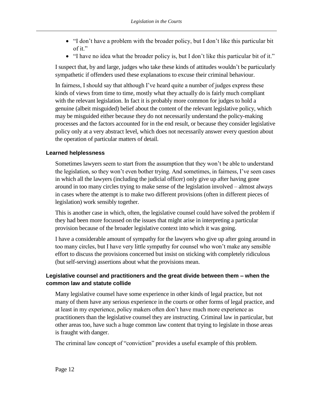- "I don't have a problem with the broader policy, but I don't like this particular bit of it."
- "I have no idea what the broader policy is, but I don't like this particular bit of it."

I suspect that, by and large, judges who take these kinds of attitudes wouldn't be particularly sympathetic if offenders used these explanations to excuse their criminal behaviour.

In fairness, I should say that although I've heard quite a number of judges express these kinds of views from time to time, mostly what they actually do is fairly much compliant with the relevant legislation. In fact it is probably more common for judges to hold a genuine (albeit misguided) belief about the content of the relevant legislative policy, which may be misguided either because they do not necessarily understand the policy-making processes and the factors accounted for in the end result, or because they consider legislative policy only at a very abstract level, which does not necessarily answer every question about the operation of particular matters of detail.

# <span id="page-15-0"></span>**Learned helplessness**

Sometimes lawyers seem to start from the assumption that they won't be able to understand the legislation, so they won't even bother trying. And sometimes, in fairness, I've seen cases in which all the lawyers (including the judicial officer) only give up after having gone around in too many circles trying to make sense of the legislation involved – almost always in cases where the attempt is to make two different provisions (often in different pieces of legislation) work sensibly together.

This is another case in which, often, the legislative counsel could have solved the problem if they had been more focussed on the issues that might arise in interpreting a particular provision because of the broader legislative context into which it was going.

I have a considerable amount of sympathy for the lawyers who give up after going around in too many circles, but I have very little sympathy for counsel who won't make any sensible effort to discuss the provisions concerned but insist on sticking with completely ridiculous (but self-serving) assertions about what the provisions mean.

# <span id="page-15-1"></span>**Legislative counsel and practitioners and the great divide between them – when the common law and statute collide**

Many legislative counsel have some experience in other kinds of legal practice, but not many of them have any serious experience in the courts or other forms of legal practice, and at least in my experience, policy makers often don't have much more experience as practitioners than the legislative counsel they are instructing. Criminal law in particular, but other areas too, have such a huge common law content that trying to legislate in those areas is fraught with danger.

The criminal law concept of "conviction" provides a useful example of this problem.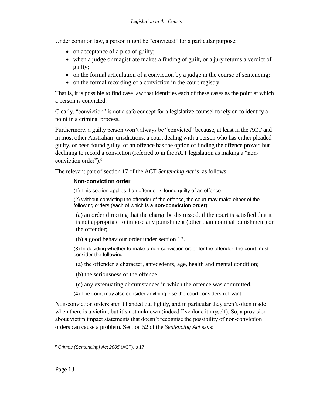Under common law, a person might be "convicted" for a particular purpose:

- on acceptance of a plea of guilty;
- when a judge or magistrate makes a finding of guilt, or a jury returns a verdict of guilty;
- on the formal articulation of a conviction by a judge in the course of sentencing;
- on the formal recording of a conviction in the court registry.

That is, it is possible to find case law that identifies each of these cases as the point at which a person is convicted.

Clearly, "conviction" is not a safe concept for a legislative counsel to rely on to identify a point in a criminal process.

Furthermore, a guilty person won't always be "convicted" because, at least in the ACT and in most other Australian jurisdictions, a court dealing with a person who has either pleaded guilty, or been found guilty, of an offence has the option of finding the offence proved but declining to record a conviction (referred to in the ACT legislation as making a "nonconviction order"). 9

The relevant part of section 17 of the ACT *Sentencing Act* is as follows:

# **Non-conviction order**

(1) This section applies if an offender is found guilty of an offence.

(2) Without convicting the offender of the offence, the court may make either of the following orders (each of which is a **non-conviction order**):

(a) an order directing that the charge be dismissed, if the court is satisfied that it is not appropriate to impose any punishment (other than nominal punishment) on the offender;

(b) a good behaviour order under section 13.

(3) In deciding whether to make a non-conviction order for the offender, the court must consider the following:

(a) the offender's character, antecedents, age, health and mental condition;

(b) the seriousness of the offence;

(c) any extenuating circumstances in which the offence was committed.

(4) The court may also consider anything else the court considers relevant.

Non-conviction orders aren't handed out lightly, and in particular they aren't often made when there is a victim, but it's not unknown (indeed I've done it myself). So, a provision about victim impact statements that doesn't recognise the possibility of non-conviction orders can cause a problem. Section 52 of the *Sentencing Act* says:

<sup>9</sup> *Crimes (Sentencing) Act 2005* (ACT), s 17.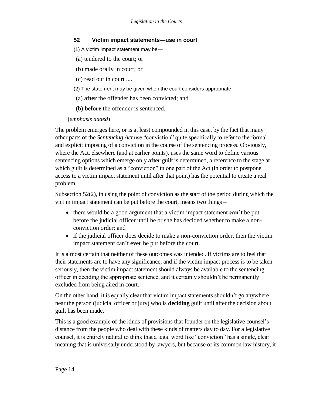# **52 Victim impact statements—use in court**

- (1) A victim impact statement may be—
- (a) tendered to the court; or
- (b) made orally in court; or
- (c) read out in court ....
- (2) The statement may be given when the court considers appropriate—
- (a) **after** the offender has been convicted; and
- (b) **before** the offender is sentenced.

# (*emphasis added*)

The problem emerges here, or is at least compounded in this case, by the fact that many other parts of the *Sentencing Act* use "conviction" quite specifically to refer to the formal and explicit imposing of a conviction in the course of the sentencing process. Obviously, where the Act, elsewhere (and at earlier points), uses the same word to define various sentencing options which emerge only **after** guilt is determined, a reference to the stage at which guilt is determined as a "conviction" in one part of the Act (in order to postpone access to a victim impact statement until after that point) has the potential to create a real problem.

Subsection 52(2), in using the point of conviction as the start of the period during which the victim impact statement can be put before the court, means two things –

- there would be a good argument that a victim impact statement **can't** be put before the judicial officer until he or she has decided whether to make a nonconviction order; and
- if the judicial officer does decide to make a non-conviction order, then the victim impact statement can't **ever** be put before the court.

It is almost certain that neither of these outcomes was intended. If victims are to feel that their statements are to have any significance, and if the victim impact process is to be taken seriously, then the victim impact statement should always be available to the sentencing officer in deciding the appropriate sentence, and it certainly shouldn't be permanently excluded from being aired in court.

On the other hand, it is equally clear that victim impact statements shouldn't go anywhere near the person (judicial officer or jury) who is **deciding** guilt until after the decision about guilt has been made.

This is a good example of the kinds of provisions that founder on the legislative counsel's distance from the people who deal with these kinds of matters day to day. For a legislative counsel, it is entirely natural to think that a legal word like "conviction" has a single, clear meaning that is universally understood by lawyers, but because of its common law history, it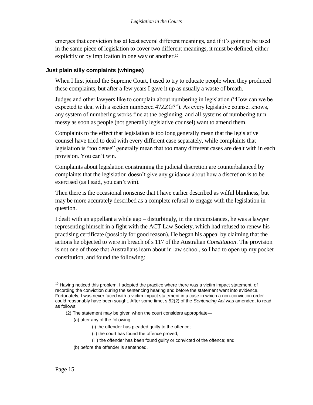emerges that conviction has at least several different meanings, and if it's going to be used in the same piece of legislation to cover two different meanings, it must be defined, either explicitly or by implication in one way or another.<sup>10</sup>

# <span id="page-18-0"></span>**Just plain silly complaints (whinges)**

When I first joined the Supreme Court, I used to try to educate people when they produced these complaints, but after a few years I gave it up as usually a waste of breath.

Judges and other lawyers like to complain about numbering in legislation ("How can we be expected to deal with a section numbered 47ZZG?"). As every legislative counsel knows, any system of numbering works fine at the beginning, and all systems of numbering turn messy as soon as people (not generally legislative counsel) want to amend them.

Complaints to the effect that legislation is too long generally mean that the legislative counsel have tried to deal with every different case separately, while complaints that legislation is "too dense" generally mean that too many different cases are dealt with in each provision. You can't win.

Complaints about legislation constraining the judicial discretion are counterbalanced by complaints that the legislation doesn't give any guidance about how a discretion is to be exercised (as I said, you can't win).

Then there is the occasional nonsense that I have earlier described as wilful blindness, but may be more accurately described as a complete refusal to engage with the legislation in question.

I dealt with an appellant a while ago – disturbingly, in the circumstances, he was a lawyer representing himself in a fight with the ACT Law Society, which had refused to renew his practising certificate (possibly for good reason). He began his appeal by claiming that the actions he objected to were in breach of s 117 of the Australian *Constitution*. The provision is not one of those that Australians learn about in law school, so I had to open up my pocket constitution, and found the following:

- (a) after any of the following:
	- (i) the offender has pleaded guilty to the offence;
	- (ii) the court has found the offence proved;
	- (iii) the offender has been found guilty or convicted of the offence; and
- (b) before the offender is sentenced.

 $10$  Having noticed this problem, I adopted the practice where there was a victim impact statement, of recording the conviction during the sentencing hearing and before the statement went into evidence. Fortunately, I was never faced with a victim impact statement in a case in which a non-conviction order could reasonably have been sought. After some time, s 52(2) of the *Sentencing Act* was amended, to read as follows:

<sup>(2)</sup> The statement may be given when the court considers appropriate—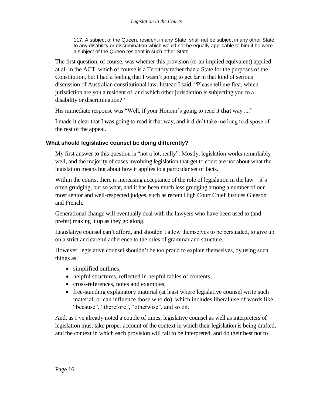117. A subject of the Queen, resident in any State, shall not be subject in any other State to any disability or discrimination which would not be equally applicable to him if he were a subject of the Queen resident in such other State.

The first question, of course, was whether this provision (or an implied equivalent) applied at all in the ACT, which of course is a Territory rather than a State for the purposes of the Constitution, but I had a feeling that I wasn't going to get far in that kind of serious discussion of Australian constitutional law. Instead I said: "Please tell me first, which jurisdiction are you a resident of, and which other jurisdiction is subjecting you to a disability or discrimination?"

His immediate response was "Well, if your Honour's going to read it **that** way ...."

I made it clear that I **was** going to read it that way, and it didn't take me long to dispose of the rest of the appeal.

# <span id="page-19-0"></span>**What should legislative counsel be doing differently?**

My first answer to this question is "not a lot, really". Mostly, legislation works remarkably well, and the majority of cases involving legislation that get to court are not about what the legislation means but about how it applies to a particular set of facts.

Within the courts, there is increasing acceptance of the role of legislation in the law  $-$  it's often grudging, but so what, and it has been much less grudging among a number of our most senior and well-respected judges, such as recent High Court Chief Justices Gleeson and French.

Generational change will eventually deal with the lawyers who have been used to (and prefer) making it up as they go along.

Legislative counsel can't afford, and shouldn't allow themselves to be persuaded, to give up on a strict and careful adherence to the rules of grammar and structure.

However, legislative counsel shouldn't be too proud to explain themselves, by using such things as:

- simplified outlines;
- helpful structures, reflected in helpful tables of contents;
- cross-references, notes and examples;
- free-standing explanatory material (at least where legislative counsel write such material, or can influence those who do), which includes liberal use of words like "because", "therefore", "otherwise", and so on.

And, as I've already noted a couple of times, legislative counsel as well as interpreters of legislation must take proper account of the context in which their legislation is being drafted, and the context in which each provision will fall to be interpreted, and do their best not to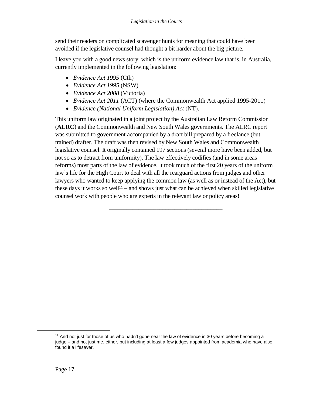send their readers on complicated scavenger hunts for meaning that could have been avoided if the legislative counsel had thought a bit harder about the big picture.

I leave you with a good news story, which is the uniform evidence law that is, in Australia, currently implemented in the following legislation:

- *Evidence Act 1995* (Cth)
- *Evidence Act 1995* (NSW)
- *Evidence Act 2008* (Victoria)
- *Evidence Act 2011* (ACT) (where the Commonwealth Act applied 1995-2011)
- *Evidence (National Uniform Legislation) Act* (NT).

This uniform law originated in a joint project by the Australian Law Reform Commission (**ALRC**) and the Commonwealth and New South Wales governments. The ALRC report was submitted to government accompanied by a draft bill prepared by a freelance (but trained) drafter. The draft was then revised by New South Wales and Commonwealth legislative counsel. It originally contained 197 sections (several more have been added, but not so as to detract from uniformity). The law effectively codifies (and in some areas reforms) most parts of the law of evidence. It took much of the first 20 years of the uniform law's life for the High Court to deal with all the rearguard actions from judges and other lawyers who wanted to keep applying the common law (as well as or instead of the Act), but these days it works so well<sup>11</sup> – and shows just what can be achieved when skilled legislative counsel work with people who are experts in the relevant law or policy areas!

\_\_\_\_\_\_\_\_\_\_\_\_\_\_\_\_\_\_\_\_\_\_\_\_\_\_\_\_\_\_\_\_\_\_\_\_\_\_

 $11$  And not just for those of us who hadn't gone near the law of evidence in 30 years before becoming a judge – and not just me, either, but including at least a few judges appointed from academia who have also found it a lifesaver.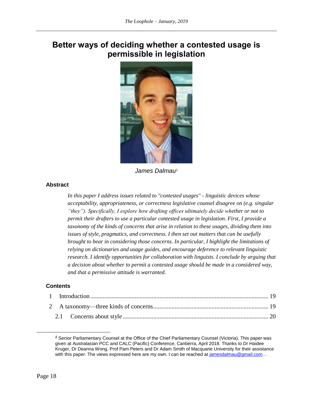# <span id="page-21-0"></span>**Better ways of deciding whether a contested usage is permissible in legislation**



*James Dalmau<sup>1</sup>*

# <span id="page-21-1"></span>**Abstract**

*In this paper I address issues related to "contested usages" - linguistic devices whose acceptability, appropriateness, or correctness legislative counsel disagree on (e.g. singular "they"). Specifically, I explore how drafting offices ultimately decide whether or not to permit their drafters to use a particular contested usage in legislation. First, I provide a taxonomy of the kinds of concerns that arise in relation to these usages, dividing them into issues of style, pragmatics, and correctness. I then set out matters that can be usefully brought to bear in considering those concerns. In particular, I highlight the limitations of relying on dictionaries and usage guides, and encourage deference to relevant linguistic research. I identify opportunities for collaboration with linguists. I conclude by arguing that a decision about whether to permit a contested usage should be made in a considered way, and that a permissive attitude is warranted.*

#### **Contents**

*<sup>1</sup>* Senior Parliamentary Counsel at the Office of the Chief Parliamentary Counsel (Victoria). This paper was given at Australasian PCC and CALC (Pacific) Conference, Canberra, April 2018. Thanks to Dr Haidee Kruger, Dr Deanna Wong, Prof Pam Peters and Dr Adam Smith of Macquarie University for their assistance with this paper. The views expressed here are my own. I can be reached at jamesdalmau@gmail.com...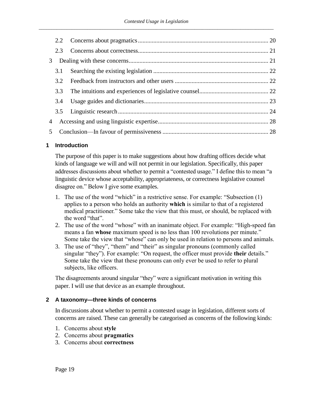|                | 2.3 |  |
|----------------|-----|--|
| 3              |     |  |
|                | 3.1 |  |
|                | 3.2 |  |
|                | 3.3 |  |
|                | 3.4 |  |
|                |     |  |
| 4              |     |  |
| 5 <sup>5</sup> |     |  |
|                |     |  |

# <span id="page-22-0"></span>**1 Introduction**

The purpose of this paper is to make suggestions about how drafting offices decide what kinds of language we will and will not permit in our legislation. Specifically, this paper addresses discussions about whether to permit a "contested usage." I define this to mean "a linguistic device whose acceptability, appropriateness, or correctness legislative counsel disagree on." Below I give some examples.

- 1. The use of the word "which" in a restrictive sense. For example: "Subsection (1) applies to a person who holds an authority **which** is similar to that of a registered medical practitioner." Some take the view that this must, or should, be replaced with the word "that".
- 2. The use of the word "whose" with an inanimate object. For example: "High-speed fan means a fan **whose** maximum speed is no less than 100 revolutions per minute." Some take the view that "whose" can only be used in relation to persons and animals.
- 3. The use of "they", "them" and "their" as singular pronouns (commonly called singular "they"). For example: "On request, the officer must provide **their** details." Some take the view that these pronouns can only ever be used to refer to plural subjects, like officers.

The disagreements around singular "they" were a significant motivation in writing this paper. I will use that device as an example throughout.

# <span id="page-22-1"></span>**2 A taxonomy—three kinds of concerns**

In discussions about whether to permit a contested usage in legislation, different sorts of concerns are raised. These can generally be categorised as concerns of the following kinds:

- 1. Concerns about **style**
- 2. Concerns about **pragmatics**
- 3. Concerns about **correctness**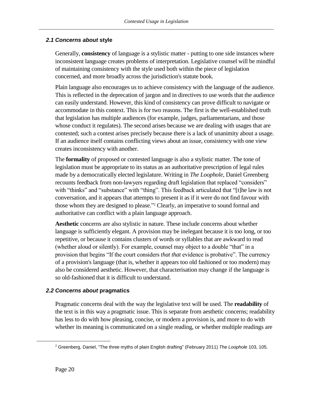# <span id="page-23-0"></span>*2.1 Concerns about* **style**

Generally, **consistency** of language is a stylistic matter - putting to one side instances where inconsistent language creates problems of interpretation. Legislative counsel will be mindful of maintaining consistency with the style used both within the piece of legislation concerned, and more broadly across the jurisdiction's statute book.

Plain language also encourages us to achieve consistency with the language of the audience. This is reflected in the deprecation of jargon and in directives to use words that the audience can easily understand. However, this kind of consistency can prove difficult to navigate or accommodate in this context. This is for two reasons. The first is the well-established truth that legislation has multiple audiences (for example, judges, parliamentarians, and those whose conduct it regulates). The second arises because we are dealing with usages that are contested; such a contest arises precisely because there is a lack of unanimity about a usage. If an audience itself contains conflicting views about an issue, consistency with one view creates inconsistency with another.

The **formality** of proposed or contested language is also a stylistic matter. The tone of legislation must be appropriate to its status as an authoritative prescription of legal rules made by a democratically elected legislature. Writing in *The Loophole*, Daniel Greenberg recounts feedback from non-lawyers regarding draft legislation that replaced "considers" with "thinks" and "substance" with "thing". This feedback articulated that "[t]he law is not conversation, and it appears that attempts to present it as if it were do not find favour with those whom they are designed to please." <sup>2</sup> Clearly, an imperative to sound formal and authoritative can conflict with a plain language approach.

**Aesthetic** concerns are also stylistic in nature. These include concerns about whether language is sufficiently elegant. A provision may be inelegant because it is too long, or too repetitive, or because it contains clusters of words or syllables that are awkward to read (whether aloud or silently). For example, counsel may object to a double "that" in a provision that begins "If the court considers *that that* evidence is probative". The currency of a provision's language (that is, whether it appears too old fashioned or too modern) may also be considered aesthetic. However, that characterisation may change if the language is so old-fashioned that it is difficult to understand.

# <span id="page-23-1"></span>*2.2 Concerns about* **pragmatics**

Pragmatic concerns deal with the way the legislative text will be used. The **readability** of the text is in this way a pragmatic issue. This is separate from aesthetic concerns; readability has less to do with how pleasing, concise, or modern a provision is, and more to do with whether its meaning is communicated on a single reading, or whether multiple readings are

<sup>2</sup> Greenberg, Daniel, "The three myths of plain English drafting" (February 2011) *The Loophole* 103, 105.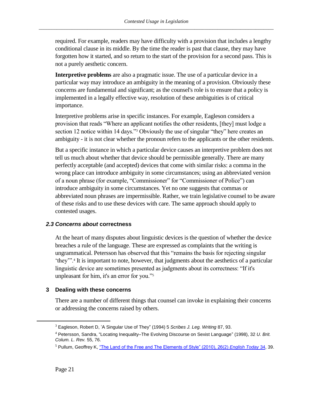required. For example, readers may have difficulty with a provision that includes a lengthy conditional clause in its middle. By the time the reader is past that clause, they may have forgotten how it started, and so return to the start of the provision for a second pass. This is not a purely aesthetic concern.

**Interpretive problems** are also a pragmatic issue. The use of a particular device in a particular way may introduce an ambiguity in the meaning of a provision. Obviously these concerns are fundamental and significant; as the counsel's role is to ensure that a policy is implemented in a legally effective way, resolution of these ambiguities is of critical importance.

<span id="page-24-2"></span>Interpretive problems arise in specific instances. For example, Eagleson considers a provision that reads "Where an applicant notifies the other residents, [they] must lodge a section 12 notice within 14 days."<sup>3</sup> Obviously the use of singular "they" here creates an ambiguity - it is not clear whether the pronoun refers to the applicants or the other residents.

But a specific instance in which a particular device causes an interpretive problem does not tell us much about whether that device should be permissible generally. There are many perfectly acceptable (and accepted) devices that come with similar risks: a comma in the wrong place can introduce ambiguity in some circumstances; using an abbreviated version of a noun phrase (for example, "Commissioner" for "Commissioner of Police") can introduce ambiguity in some circumstances. Yet no one suggests that commas or abbreviated noun phrases are impermissible. Rather, we train legislative counsel to be aware of these risks and to use these devices with care. The same approach should apply to contested usages.

#### <span id="page-24-0"></span>*2.3 Concerns about* **correctness**

At the heart of many disputes about linguistic devices is the question of whether the device breaches a rule of the language. These are expressed as complaints that the writing is ungrammatical. Petersson has observed that this "remains the basis for rejecting singular 'they'".<sup>4</sup> It is important to note, however, that judgments about the aesthetics of a particular linguistic device are sometimes presented as judgments about its correctness: "If it's unpleasant for him, it's an error for you."<sup>5</sup>

# <span id="page-24-1"></span>**3 Dealing with these concerns**

There are a number of different things that counsel can invoke in explaining their concerns or addressing the concerns raised by others.

<sup>3</sup> Eagleson, Robert D, 'A Singular Use of They" (1994) 5 *Scribes J. Leg. Writing* 87, 93.

<sup>4</sup> Petersson, Sandra, "Locating Inequality–The Evolving Discourse on Sexist Language" (1998), 32 *U. Brit. Colum. L. Rev.* 55, 76.

<sup>5</sup> Pullum, Geoffrey K, ["The Land of the Free and The Elements of Style" \(2010\), 26\(2\)](http://www.lel.ed.ac.uk/~gpullum/LandOfTheFree.pdf) *English Today* 34, 39.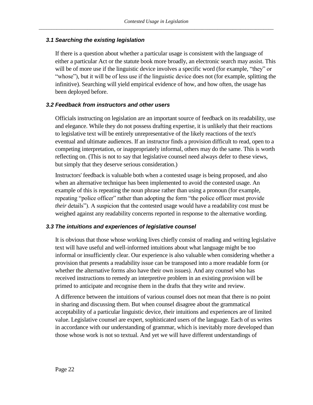# <span id="page-25-0"></span>*3.1 Searching the existing legislation*

If there is a question about whether a particular usage is consistent with the language of either a particular Act or the statute book more broadly, an electronic search may assist. This will be of more use if the linguistic device involves a specific word (for example, "they" or "whose"), but it will be of less use if the linguistic device does not (for example, splitting the infinitive). Searching will yield empirical evidence of how, and how often, the usage has been deployed before.

# <span id="page-25-1"></span>*3.2 Feedback from instructors and other users*

Officials instructing on legislation are an important source of feedback on its readability, use and elegance. While they do not possess drafting expertise, it is unlikely that their reactions to legislative text will be entirely unrepresentative of the likely reactions of the text's eventual and ultimate audiences. If an instructor finds a provision difficult to read, open to a competing interpretation, or inappropriately informal, others may do the same. This is worth reflecting on. (This is not to say that legislative counsel need always defer to these views, but simply that they deserve serious consideration.)

Instructors' feedback is valuable both when a contested usage is being proposed, and also when an alternative technique has been implemented to avoid the contested usage. An example of this is repeating the noun phrase rather than using a pronoun (for example, repeating "police officer" rather than adopting the form "the police officer must provide *their* details"). A suspicion that the contested usage would have a readability cost must be weighed against any readability concerns reported in response to the alternative wording.

# <span id="page-25-2"></span>*3.3 The intuitions and experiences of legislative counsel*

It is obvious that those whose working lives chiefly consist of reading and writing legislative text will have useful and well-informed intuitions about what language might be too informal or insufficiently clear. Our experience is also valuable when considering whether a provision that presents a readability issue can be transposed into a more readable form (or whether the alternative forms also have their own issues). And any counsel who has received instructions to remedy an interpretive problem in an existing provision will be primed to anticipate and recognise them in the drafts that they write and review.

A difference between the intuitions of various counsel does not mean that there is no point in sharing and discussing them. But when counsel disagree about the grammatical acceptability of a particular linguistic device, their intuitions and experiences are of limited value. Legislative counsel are expert, sophisticated users of the language. Each of us writes in accordance with our understanding of grammar, which is inevitably more developed than those whose work is not so textual. And yet we will have different understandings of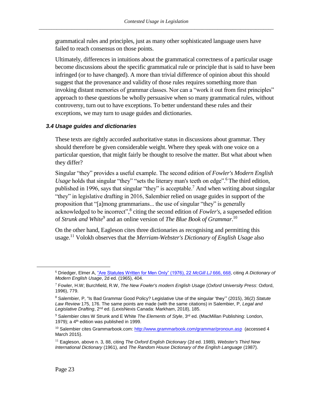grammatical rules and principles, just as many other sophisticated language users have failed to reach consensus on those points.

Ultimately, differences in intuitions about the grammatical correctness of a particular usage become discussions about the specific grammatical rule or principle that is said to have been infringed (or to have changed). A more than trivial difference of opinion about this should suggest that the provenance and validity of those rules requires something more than invoking distant memories of grammar classes. Nor can a "work it out from first principles" approach to these questions be wholly persuasive when so many grammatical rules, without controversy, turn out to have exceptions. To better understand these rules and their exceptions, we may turn to usage guides and dictionaries.

#### <span id="page-26-0"></span>*3.4 Usage guides and dictionaries*

These texts are rightly accorded authoritative status in discussions about grammar. They should therefore be given considerable weight. Where they speak with one voice on a particular question, that might fairly be thought to resolve the matter. But what about when they differ?

Singular "they" provides a useful example. The second edition of *Fowler's Modern English Usage* holds that singular "they" "sets the literary man's teeth on edge".<sup>6</sup> The third edition, published in 1996, says that singular "they" is acceptable.<sup>7</sup> And when writing about singular "they" in legislative drafting in 2016, Salembier relied on usage guides in support of the proposition that "[a]mong grammarians... the use of singular "they" is generally acknowledged to be incorrect",<sup>8</sup> citing the second edition of *Fowler's*, a superseded edition of *Strunk and White*<sup>9</sup> and an online version of *The Blue Book of Grammar*.<sup>10</sup>

<span id="page-26-1"></span>On the other hand, Eagleson cites three dictionaries as recognising and permitting this usage.<sup>11</sup> Volokh observes that the *Merriam-Webster's Dictionary of English Usage* also

<sup>6</sup> Driedger, Elmer A, ["Are Statutes Written for Men Only" \(1976\), 22](http://lawjournal.mcgill.ca/userfiles/other/1109489-driedger.pdf) *McGill LJ* 666, 668, citing *A Dictionary of Modern English Usage*, 2d ed. (1965), 404.

<sup>7</sup> Fowler, H.W; Burchfield, R.W, *The New Fowler's modern English Usage* (*Oxford University Press*: Oxford, 1996), 779.

<sup>8</sup> Salembier, P, "Is Bad Grammar Good Policy? Legislative Use of the singular 'they'" (2015), 36(2) *Statute Law Review* 175, 176. The same points are made (with the same citations) in Salembier, P, *Legal and Legislative Drafting*, 2nd ed. (LexisNexis Canada: Markham, 2018), 185.

<sup>&</sup>lt;sup>9</sup> Salembier cites W Strunk and E White *The Elements of Style*, 3<sup>rd</sup> ed. (MacMillan Publishing: London, 1979); a 4<sup>th</sup> edition was published in 1999.

<sup>&</sup>lt;sup>10</sup> Salembier cites Grammarbook.com: <http://www.grammarbook.com/grammar/pronoun.asp> (accessed 4 March 2015).

<sup>11</sup> Eagleson, above n[. 3,](#page-24-2) 88, citing *The Oxford English Dictionary* (2d ed. 1989), *Webster's Third New International Dictionary* (1961), and *The Random House Dictionary of the English Language* (1987).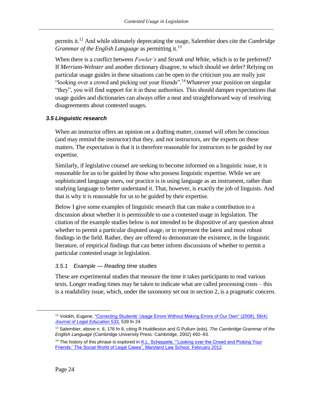permits it.<sup>12</sup> And while ultimately deprecating the usage, Salembier does cite the *Cambridge Grammar of the English Language* as permitting it.<sup>13</sup>

When there is a conflict between *Fowler's* and *Strunk and White*, which is to be preferred? If *Merriam-Webster* and another dictionary disagree, to which should we defer? Relying on particular usage guides in these situations can be open to the criticism you are really just "looking over a crowd and picking out your friends".<sup>14</sup>Whatever your position on singular "they", you will find support for it in these authorities. This should dampen expectations that usage guides and dictionaries can always offer a neat and straightforward way of resolving disagreements about contested usages.

# <span id="page-27-0"></span>*3.5 Linguistic research*

When an instructor offers an opinion on a drafting matter, counsel will often be conscious (and may remind the instructor) that they, and not instructors, are the experts on these matters. The expectation is that it is therefore reasonable for instructors to be guided by our expertise.

Similarly, if legislative counsel are seeking to become informed on a linguistic issue, it is reasonable for us to be guided by those who possess linguistic expertise. While we are sophisticated language users, our practice is in using language as an instrument, rather than studying language to better understand it. That, however, is exactly the job of linguists. And that is why it is reasonable for us to be guided by their expertise.

Below I give some examples of linguistic research that can make a contribution to a discussion about whether it is permissible to use a contested usage in legislation. The citation of the example studies below is not intended to be dispositive of any question about whether to permit a particular disputed usage, or to represent the latest and most robust findings in the field. Rather, they are offered to demonstrate the existence, in the linguistic literature, of empirical findings that can better inform discussions of whether to permit a particular contested usage in legislation.

# *3.5.1 Example — Reading time studies*

These are experimental studies that measure the time it takes participants to read various texts. Longer reading times may be taken to indicate what are called processing costs – this is a readability issue, which, under the taxonomy set out in section 2, is a pragmatic concern.

 $12$  Volokh, Eugene, "Correcting Students' Usage Errors Without Making Errors of Our Own" (2008), 58(4) *[Journal of Legal Education](http://www2.law.ucla.edu/volokh/errors.pdf)* 533, 539 fn 24.

<sup>13</sup> Salembier, above n[. 8,](#page-26-1) 176 fn 8, citing R Huddleston and G Pullum (eds), *The Cambridge Grammar of the English Language* (Cambridge University Press: Cambridge, 2002) 492–93.

<sup>&</sup>lt;sup>14</sup> The history of this phrase is explored in K.L. Scheppele, "'Looking over the Crowd and Picking Your [Friends:' The Social World of Legal Cases", Maryland Law School,](https://digitalcommons.law.umaryland.edu/cgi/viewcontent.cgi?referer=&httpsredir=1&article=1144&context=schmooze_papers) February 2012.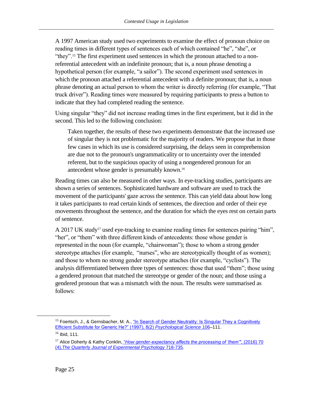A 1997 American study used two experiments to examine the effect of pronoun choice on reading times in different types of sentences each of which contained "he", "she", or "they".<sup>15</sup> The first experiment used sentences in which the pronoun attached to a nonreferential antecedent with an indefinite pronoun; that is, a noun phrase denoting a hypothetical person (for example, "a sailor"). The second experiment used sentences in which the pronoun attached a referential antecedent with a definite pronoun; that is, a noun phrase denoting an actual person to whom the writer is directly referring (for example, "That truck driver"). Reading times were measured by requiring participants to press a button to indicate that they had completed reading the sentence.

Using singular "they" did not increase reading times in the first experiment, but it did in the second. This led to the following conclusion:

Taken together, the results of these two experiments demonstrate that the increased use of singular they is not problematic for the majority of readers. We propose that in those few cases in which its use is considered surprising, the delays seen in comprehension are due not to the pronoun's ungrammaticality or to uncertainty over the intended referent, but to the suspicious opacity of using a nongendered pronoun for an antecedent whose gender is presumably known.<sup>16</sup>

Reading times can also be measured in other ways. In eye-tracking studies, participants are shown a series of sentences. Sophisticated hardware and software are used to track the movement of the participants' gaze across the sentence. This can yield data about how long it takes participants to read certain kinds of sentences, the direction and order of their eye movements throughout the sentence, and the duration for which the eyes rest on certain parts of sentence.

A 2017 UK study<sup>17</sup> used eye-tracking to examine reading times for sentences pairing "him", "her", or "them" with three different kinds of antecedents: those whose gender is represented in the noun (for example, "chairwoman"); those to whom a strong gender stereotype attaches (for example, "nurses", who are stereotypically thought of as women); and those to whom no strong gender stereotype attaches (for example, "cyclists"). The analysis differentiated between three types of sentences: those that used "them"; those using a gendered pronoun that matched the stereotype or gender of the noun; and those using a gendered pronoun that was a mismatch with the noun. The results were summarised as follows:

<sup>&</sup>lt;sup>15</sup> Foertsch, J., & Gernsbacher, M. A., "In Search of Gender Neutrality: Is Singular They a Cognitively [Efficient Substitute for Generic He?" \(1997\), 8\(2\)](http://www.gernsbacherlab.org/wp-content/uploads/papers/1/Foertsch_Gender-Neutrality-They-or-He_PS_1997.pdf) *Psychological Science* 106–111.

 $16$  Ibid, 111.

<sup>17</sup> Alice Doherty & Kathy Conklin, "*[How gender-expectancy affects the processing of 'them'"](https://eprints.nottingham.ac.uk/45187/1/DohertyConklin_2017.pdf)*, (2016) 70 (4),*[The Quarterly Journal of Experimental Psychology](https://eprints.nottingham.ac.uk/45187/1/DohertyConklin_2017.pdf)* 718-735.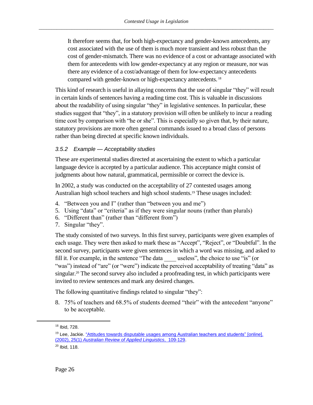It therefore seems that, for both high-expectancy and gender-known antecedents, any cost associated with the use of them is much more transient and less robust than the cost of gender-mismatch. There was no evidence of a cost or advantage associated with them for antecedents with low gender-expectancy at any region or measure, nor was there any evidence of a cost/advantage of them for low-expectancy antecedents compared with gender-known or high-expectancy antecedents. <sup>18</sup>

This kind of research is useful in allaying concerns that the use of singular "they" will result in certain kinds of sentences having a reading time cost. This is valuable in discussions about the readability of using singular "they" in legislative sentences. In particular, these studies suggest that "they", in a statutory provision will often be unlikely to incur a reading time cost by comparison with "he or she". This is especially so given that, by their nature, statutory provisions are more often general commands issued to a broad class of persons rather than being directed at specific known individuals.

# *3.5.2 Example — Acceptability studies*

These are experimental studies directed at ascertaining the extent to which a particular language device is accepted by a particular audience. This acceptance might consist of judgments about how natural, grammatical, permissible or correct the device is.

In 2002, a study was conducted on the acceptability of 27 contested usages among Australian high school teachers and high school students.<sup>19</sup> These usages included:

- 4. "Between you and I" (rather than "between you and me")
- 5. Using "data" or "criteria" as if they were singular nouns (rather than plurals)
- 6. "Different than" (rather than "different from")
- 7. Singular "they".

The study consisted of two surveys. In this first survey, participants were given examples of each usage. They were then asked to mark these as "Accept", "Reject", or "Doubtful". In the second survey, participants were given sentences in which a word was missing, and asked to fill it. For example, in the sentence "The data \_\_\_\_ useless", the choice to use "is" (or "was") instead of "are" (or "were") indicate the perceived acceptability of treating "data" as singular.<sup>20</sup> The second survey also included a proofreading test, in which participants were invited to review sentences and mark any desired changes.

The following quantitative findings related to singular "they":

8. 75% of teachers and 68.5% of students deemed "their" with the antecedent "anyone" to be acceptable.

<sup>18</sup> Ibid, 728.

<sup>&</sup>lt;sup>19</sup> Lee, Jackie[. "Attitudes towards disputable usages among Australian teachers and students"](https://www.researchgate.net/publication/249768611_Teachers%27_Attitudes_Towards_Disputable_Usages) [online]. (2002), 25(1) *[Australian Review of Applied Linguistics](https://www.researchgate.net/publication/249768611_Teachers%27_Attitudes_Towards_Disputable_Usages)*, 109-129.

 $20$  Ibid, 118.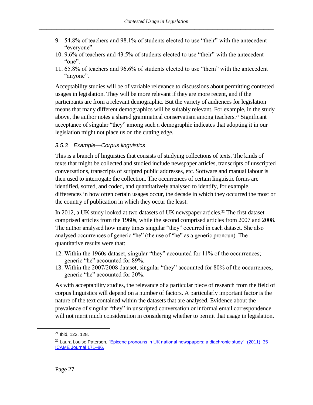- 9. 54.8% of teachers and 98.1% of students elected to use "their" with the antecedent "everyone".
- 10. 9.6% of teachers and 43.5% of students elected to use "their" with the antecedent "one".
- 11. 65.8% of teachers and 96.6% of students elected to use "them" with the antecedent "anyone".

Acceptability studies will be of variable relevance to discussions about permitting contested usages in legislation. They will be more relevant if they are more recent, and if the participants are from a relevant demographic. But the variety of audiences for legislation means that many different demographics will be suitably relevant. For example, in the study above, the author notes a shared grammatical conservatism among teachers.<sup>21</sup> Significant acceptance of singular "they" among such a demographic indicates that adopting it in our legislation might not place us on the cutting edge.

# *3.5.3 Example—Corpus linguistics*

This is a branch of linguistics that consists of studying collections of texts. The kinds of texts that might be collected and studied include newspaper articles, transcripts of unscripted conversations, transcripts of scripted public addresses, etc. Software and manual labour is then used to interrogate the collection. The occurrences of certain linguistic forms are identified, sorted, and coded, and quantitatively analysed to identify, for example, differences in how often certain usages occur, the decade in which they occurred the most or the country of publication in which they occur the least.

In 2012, a UK study looked at two datasets of UK newspaper articles.<sup>22</sup> The first dataset comprised articles from the 1960s, while the second comprised articles from 2007 and 2008. The author analysed how many times singular "they" occurred in each dataset. She also analysed occurrences of generic "he" (the use of "he" as a generic pronoun). The quantitative results were that:

- 12. Within the 1960s dataset, singular "they" accounted for 11% of the occurrences; generic "he" accounted for 89%.
- 13. Within the 2007/2008 dataset, singular "they" accounted for 80% of the occurrences; generic "he" accounted for 20%.

As with acceptability studies, the relevance of a particular piece of research from the field of corpus linguistics will depend on a number of factors. A particularly important factor is the nature of the text contained within the datasets that are analysed. Evidence about the prevalence of singular "they" in unscripted conversation or informal email correspondence will not merit much consideration in considering whether to permit that usage in legislation.

<sup>21</sup> Ibid, 122, 128.

<sup>&</sup>lt;sup>22</sup> Laura Louise Paterson, "Epicene pronouns in UK national newspapers: a diachronic study", (2011), 35 [ICAME Journal 171–86.](http://clu.uni.no/icame/ij35/Laura_Louise_Paterson.pdf)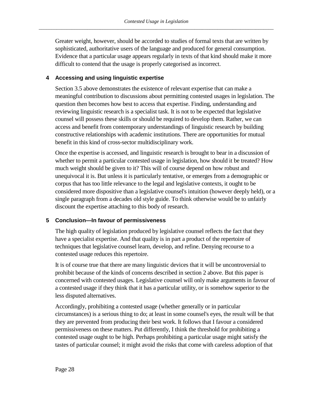Greater weight, however, should be accorded to studies of formal texts that are written by sophisticated, authoritative users of the language and produced for general consumption. Evidence that a particular usage appears regularly in texts of that kind should make it more difficult to contend that the usage is properly categorised as incorrect.

# <span id="page-31-0"></span>**4 Accessing and using linguistic expertise**

Section 3.5 above demonstrates the existence of relevant expertise that can make a meaningful contribution to discussions about permitting contested usages in legislation. The question then becomes how best to access that expertise. Finding, understanding and reviewing linguistic research is a specialist task. It is not to be expected that legislative counsel will possess these skills or should be required to develop them. Rather, we can access and benefit from contemporary understandings of linguistic research by building constructive relationships with academic institutions. There are opportunities for mutual benefit in this kind of cross-sector multidisciplinary work.

Once the expertise is accessed, and linguistic research is brought to bear in a discussion of whether to permit a particular contested usage in legislation, how should it be treated? How much weight should be given to it? This will of course depend on how robust and unequivocal it is. But unless it is particularly tentative, or emerges from a demographic or corpus that has too little relevance to the legal and legislative contexts, it ought to be considered more dispositive than a legislative counsel's intuition (however deeply held), or a single paragraph from a decades old style guide. To think otherwise would be to unfairly discount the expertise attaching to this body of research.

# <span id="page-31-1"></span>**5 Conclusion—In favour of permissiveness**

The high quality of legislation produced by legislative counsel reflects the fact that they have a specialist expertise. And that quality is in part a product of the repertoire of techniques that legislative counsel learn, develop, and refine. Denying recourse to a contested usage reduces this repertoire.

It is of course true that there are many linguistic devices that it will be uncontroversial to prohibit because of the kinds of concerns described in section 2 above. But this paper is concerned with contested usages. Legislative counsel will only make arguments in favour of a contested usage if they think that it has a particular utility, or is somehow superior to the less disputed alternatives.

Accordingly, prohibiting a contested usage (whether generally or in particular circumstances) is a serious thing to do; at least in some counsel's eyes, the result will be that they are prevented from producing their best work. It follows that I favour a considered permissiveness on these matters. Put differently, I think the threshold for prohibiting a contested usage ought to be high. Perhaps prohibiting a particular usage might satisfy the tastes of particular counsel; it might avoid the risks that come with careless adoption of that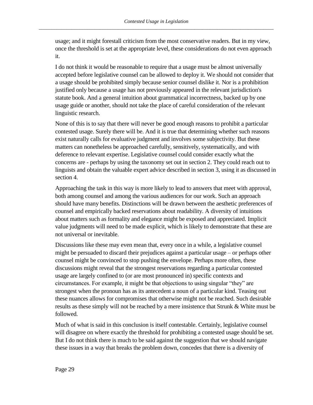usage; and it might forestall criticism from the most conservative readers. But in my view, once the threshold is set at the appropriate level, these considerations do not even approach it.

I do not think it would be reasonable to require that a usage must be almost universally accepted before legislative counsel can be allowed to deploy it. We should not consider that a usage should be prohibited simply because senior counsel dislike it. Nor is a prohibition justified only because a usage has not previously appeared in the relevant jurisdiction's statute book. And a general intuition about grammatical incorrectness, backed up by one usage guide or another, should not take the place of careful consideration of the relevant linguistic research.

None of this is to say that there will never be good enough reasons to prohibit a particular contested usage. Surely there will be. And it is true that determining whether such reasons exist naturally calls for evaluative judgment and involves some subjectivity. But these matters can nonetheless be approached carefully, sensitively, systematically, and with deference to relevant expertise. Legislative counsel could consider exactly what the concerns are - perhaps by using the taxonomy set out in section 2. They could reach out to linguists and obtain the valuable expert advice described in section 3, using it as discussed in section 4.

Approaching the task in this way is more likely to lead to answers that meet with approval, both among counsel and among the various audiences for our work. Such an approach should have many benefits. Distinctions will be drawn between the aesthetic preferences of counsel and empirically backed reservations about readability. A diversity of intuitions about matters such as formality and elegance might be exposed and appreciated. Implicit value judgments will need to be made explicit, which is likely to demonstrate that these are not universal or inevitable.

Discussions like these may even mean that, every once in a while, a legislative counsel might be persuaded to discard their prejudices against a particular usage – or perhaps other counsel might be convinced to stop pushing the envelope. Perhaps more often, these discussions might reveal that the strongest reservations regarding a particular contested usage are largely confined to (or are most pronounced in) specific contexts and circumstances. For example, it might be that objections to using singular "they" are strongest when the pronoun has as its antecedent a noun of a particular kind. Teasing out these nuances allows for compromises that otherwise might not be reached. Such desirable results as these simply will not be reached by a mere insistence that Strunk & White must be followed.

Much of what is said in this conclusion is itself contestable. Certainly, legislative counsel will disagree on where exactly the threshold for prohibiting a contested usage should be set. But I do not think there is much to be said against the suggestion that we should navigate these issues in a way that breaks the problem down, concedes that there is a diversity of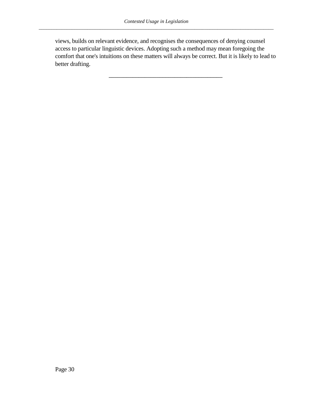views, builds on relevant evidence, and recognises the consequences of denying counsel access to particular linguistic devices. Adopting such a method may mean foregoing the comfort that one's intuitions on these matters will always be correct. But it is likely to lead to better drafting.

\_\_\_\_\_\_\_\_\_\_\_\_\_\_\_\_\_\_\_\_\_\_\_\_\_\_\_\_\_\_\_\_\_\_\_\_\_\_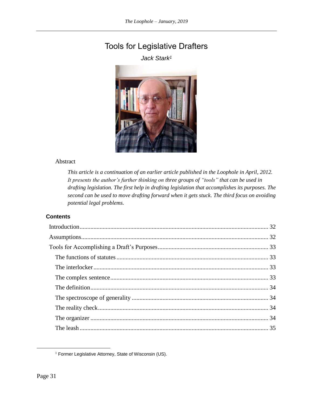# <span id="page-34-1"></span><span id="page-34-0"></span>Tools for Legislative Drafters

*Jack Stark<sup>1</sup>*



#### Abstract

*This article is a continuation of an earlier article published in the Loophole in April, 2012. It presents the author's further thinking on three groups of "tools" that can be used in drafting legislation. The first help in drafting legislation that accomplishes its purposes. The second can be used to move drafting forward when it gets stuck. The third focus on avoiding potential legal problems.*

# **Contents**

<sup>&</sup>lt;sup>1</sup> Former Legislative Attorney, State of Wisconsin (US).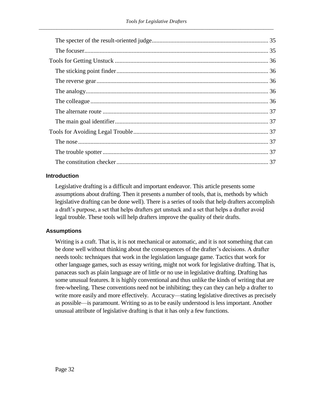# <span id="page-35-0"></span>**Introduction**

Legislative drafting is a difficult and important endeavor. This article presents some assumptions about drafting. Then it presents a number of tools, that is, methods by which legislative drafting can be done well). There is a series of tools that help drafters accomplish a draft's purpose, a set that helps drafters get unstuck and a set that helps a drafter avoid legal trouble. These tools will help drafters improve the quality of their drafts.

# <span id="page-35-1"></span>**Assumptions**

Writing is a craft. That is, it is not mechanical or automatic, and it is not something that can be done well without thinking about the consequences of the drafter's decisions. A drafter needs tools: techniques that work in the legislation language game. Tactics that work for other language games, such as essay writing, might not work for legislative drafting. That is, panaceas such as plain language are of little or no use in legislative drafting. Drafting has some unusual features. It is highly conventional and thus unlike the kinds of writing that are free-wheeling. These conventions need not be inhibiting; they can they can help a drafter to write more easily and more effectively. Accuracy—stating legislative directives as precisely as possible—is paramount. Writing so as to be easily understood is less important. Another unusual attribute of legislative drafting is that it has only a few functions.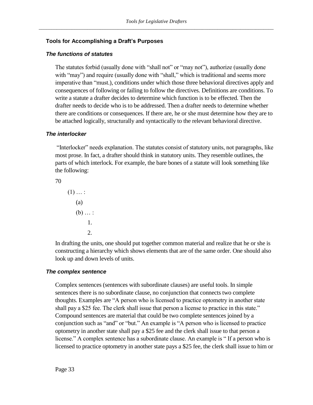# <span id="page-36-0"></span>**Tools for Accomplishing a Draft's Purposes**

#### <span id="page-36-1"></span>*The functions of statutes*

The statutes forbid (usually done with "shall not" or "may not"), authorize (usually done with "may") and require (usually done with "shall," which is traditional and seems more imperative than "must.), conditions under which those three behavioral directives apply and consequences of following or failing to follow the directives. Definitions are conditions. To write a statute a drafter decides to determine which function is to be effected. Then the drafter needs to decide who is to be addressed. Then a drafter needs to determine whether there are conditions or consequences. If there are, he or she must determine how they are to be attached logically, structurally and syntactically to the relevant behavioral directive.

#### <span id="page-36-2"></span>*The interlocker*

"Interlocker" needs explanation. The statutes consist of statutory units, not paragraphs, like most prose. In fact, a drafter should think in statutory units. They resemble outlines, the parts of which interlock. For example, the bare bones of a statute will look something like the following:

70

 $(1)$  ... : (a)  $(b) \ldots$ : 1. 2.

In drafting the units, one should put together common material and realize that he or she is constructing a hierarchy which shows elements that are of the same order. One should also look up and down levels of units.

#### <span id="page-36-3"></span>*The complex sentence*

Complex sentences (sentences with subordinate clauses) are useful tools. In simple sentences there is no subordinate clause, no conjunction that connects two complete thoughts. Examples are "A person who is licensed to practice optometry in another state shall pay a \$25 fee. The clerk shall issue that person a license to practice in this state." Compound sentences are material that could be two complete sentences joined by a conjunction such as "and" or "but." An example is "A person who is licensed to practice optometry in another state shall pay a \$25 fee and the clerk shall issue to that person a license." A complex sentence has a subordinate clause. An example is " If a person who is licensed to practice optometry in another state pays a \$25 fee, the clerk shall issue to him or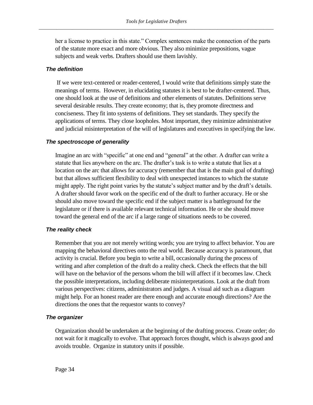her a license to practice in this state." Complex sentences make the connection of the parts of the statute more exact and more obvious. They also minimize prepositions, vague subjects and weak verbs. Drafters should use them lavishly.

### <span id="page-37-0"></span>*The definition*

If we were text-centered or reader-centered, I would write that definitions simply state the meanings of terms. However, in elucidating statutes it is best to be drafter-centered. Thus, one should look at the use of definitions and other elements of statutes. Definitions serve several desirable results. They create economy; that is, they promote directness and conciseness. They fit into systems of definitions. They set standards. They specify the applications of terms. They close loopholes. Most important, they minimize administrative and judicial misinterpretation of the will of legislatures and executives in specifying the law.

# <span id="page-37-1"></span>*The spectroscope of generality*

Imagine an arc with "specific" at one end and "general" at the other. A drafter can write a statute that lies anywhere on the arc. The drafter's task is to write a statute that lies at a location on the arc that allows for accuracy (remember that that is the main goal of drafting) but that allows sufficient flexibility to deal with unexpected instances to which the statute might apply. The right point varies by the statute's subject matter and by the draft's details. A drafter should favor work on the specific end of the draft to further accuracy. He or she should also move toward the specific end if the subject matter is a battleground for the legislature or if there is available relevant technical information. He or she should move toward the general end of the arc if a large range of situations needs to be covered.

# <span id="page-37-2"></span>*The reality check*

Remember that you are not merely writing words; you are trying to affect behavior. You are mapping the behavioral directives onto the real world. Because accuracy is paramount, that activity is crucial. Before you begin to write a bill, occasionally during the process of writing and after completion of the draft do a reality check. Check the effects that the bill will have on the behavior of the persons whom the bill will affect if it becomes law. Check the possible interpretations, including deliberate misinterpretations. Look at the draft from various perspectives: citizens, administrators and judges. A visual aid such as a diagram might help. For an honest reader are there enough and accurate enough directions? Are the directions the ones that the requestor wants to convey?

# <span id="page-37-3"></span>*The organizer*

Organization should be undertaken at the beginning of the drafting process. Create order; do not wait for it magically to evolve. That approach forces thought, which is always good and avoids trouble. Organize in statutory units if possible.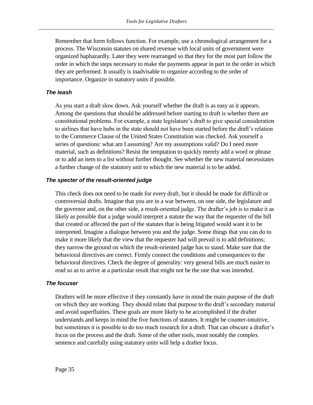Remember that form follows function. For example, use a chronological arrangement for a process. The Wisconsin statutes on shared revenue with local units of government were organized haphazardly. Later they were rearranged so that they for the most part follow the order in which the steps necessary to make the payments appear in part in the order in which they are performed. It usually is inadvisable to organize according to the order of importance. Organize in statutory units if possible.

# <span id="page-38-0"></span>*The leash*

As you start a draft slow down. Ask yourself whether the draft is as easy as it appears. Among the questions that should be addressed before starting to draft is whether there are constitutional problems. For example, a state legislature's draft to give special consideration to airlines that have hubs in the state should not have been started before the draft's relation to the Commerce Clause of the United States Constitution was checked. Ask yourself a series of questions: what am I assuming? Are my assumptions valid? Do I need more material, such as definitions? Resist the temptation to quickly merely add a word or phrase or to add an item to a list without further thought. See whether the new material necessitates a further change of the statutory unit to which the new material is to be added.

#### <span id="page-38-1"></span>*The specter of the result-oriented judge*

This check does not need to be made for every draft, but it should be made for difficult or controversial drafts. Imagine that you are in a war between, on one side, the legislature and the governor and, on the other side, a result-oriented judge. The drafter's job is to make it as likely as possible that a judge would interpret a statute the way that the requester of the bill that created or affected the part of the statutes that is being litigated would want it to be interpreted. Imagine a dialogue between you and the judge. Some things that you can do to make it more likely that the view that the requester had will prevail is to add definitions; they narrow the ground on which the result-oriented judge has to stand. Make sure that the behavioral directives are correct. Firmly connect the conditions and consequences to the behavioral directives. Check the degree of generality: very general bills are much easier to read so as to arrive at a particular result that might not be the one that was intended.

#### <span id="page-38-2"></span>*The focuser*

Drafters will be more effective if they constantly have in mind the main purpose of the draft on which they are working. They should relate that purpose to the draft's secondary material and avoid superfluities. These goals are more likely to be accomplished if the drafter understands and keeps in mind the five functions of statutes. It might be counter-intuitive, but sometimes it is possible to do too much research for a draft. That can obscure a drafter's focus on the process and the draft. Some of the other tools, most notably the complex sentence and carefully using statutory units will help a drafter focus.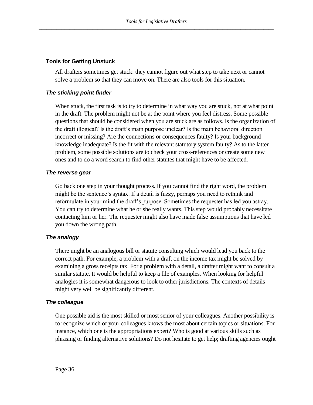### <span id="page-39-0"></span>**Tools for Getting Unstuck**

All drafters sometimes get stuck: they cannot figure out what step to take next or cannot solve a problem so that they can move on. There are also tools for this situation.

# <span id="page-39-1"></span>*The sticking point finder*

When stuck, the first task is to try to determine in what way you are stuck, not at what point in the draft. The problem might not be at the point where you feel distress. Some possible questions that should be considered when you are stuck are as follows. Is the organization of the draft illogical? Is the draft's main purpose unclear? Is the main behavioral direction incorrect or missing? Are the connections or consequences faulty? Is your background knowledge inadequate? Is the fit with the relevant statutory system faulty? As to the latter problem, some possible solutions are to check your cross-references or create some new ones and to do a word search to find other statutes that might have to be affected.

# <span id="page-39-2"></span>*The reverse gear*

Go back one step in your thought process. If you cannot find the right word, the problem might be the sentence's syntax. If a detail is fuzzy, perhaps you need to rethink and reformulate in your mind the draft's purpose. Sometimes the requester has led you astray. You can try to determine what he or she really wants. This step would probably necessitate contacting him or her. The requester might also have made false assumptions that have led you down the wrong path.

# <span id="page-39-3"></span>*The analogy*

There might be an analogous bill or statute consulting which would lead you back to the correct path. For example, a problem with a draft on the income tax might be solved by examining a gross receipts tax. For a problem with a detail, a drafter might want to consult a similar statute. It would be helpful to keep a file of examples. When looking for helpful analogies it is somewhat dangerous to look to other jurisdictions. The contexts of details might very well be significantly different.

# <span id="page-39-4"></span>*The colleague*

One possible aid is the most skilled or most senior of your colleagues. Another possibility is to recognize which of your colleagues knows the most about certain topics or situations. For instance, which one is the appropriations expert? Who is good at various skills such as phrasing or finding alternative solutions? Do not hesitate to get help; drafting agencies ought